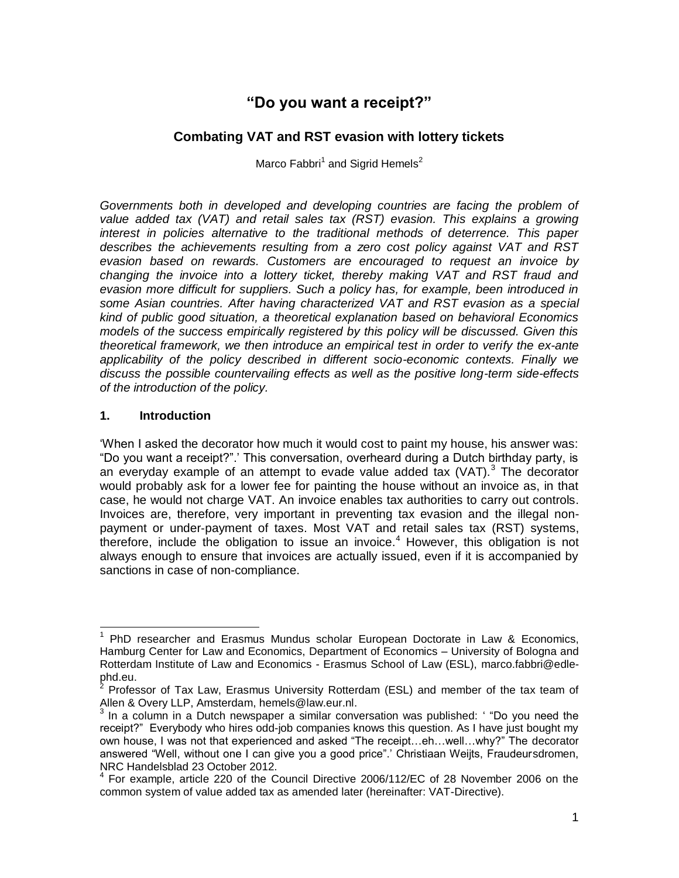# **"Do you want a receipt?"**

# **Combating VAT and RST evasion with lottery tickets**

Marco Fabbri<sup>1</sup> and Sigrid Hemels<sup>2</sup>

*Governments both in developed and developing countries are facing the problem of value added tax (VAT) and retail sales tax (RST) evasion. This explains a growing interest in policies alternative to the traditional methods of deterrence. This paper describes the achievements resulting from a zero cost policy against VAT and RST evasion based on rewards. Customers are encouraged to request an invoice by changing the invoice into a lottery ticket, thereby making VAT and RST fraud and evasion more difficult for suppliers. Such a policy has, for example, been introduced in some Asian countries. After having characterized VAT and RST evasion as a special kind of public good situation, a theoretical explanation based on behavioral Economics models of the success empirically registered by this policy will be discussed. Given this theoretical framework, we then introduce an empirical test in order to verify the ex-ante applicability of the policy described in different socio-economic contexts. Finally we discuss the possible countervailing effects as well as the positive long-term side-effects of the introduction of the policy.*

#### **1. Introduction**

'When I asked the decorator how much it would cost to paint my house, his answer was: "Do you want a receipt?".' This conversation, overheard during a Dutch birthday party, is an everyday example of an attempt to evade value added tax  $(VAT)$ .<sup>3</sup> The decorator would probably ask for a lower fee for painting the house without an invoice as, in that case, he would not charge VAT. An invoice enables tax authorities to carry out controls. Invoices are, therefore, very important in preventing tax evasion and the illegal nonpayment or under-payment of taxes. Most VAT and retail sales tax (RST) systems, therefore, include the obligation to issue an invoice.<sup>4</sup> However, this obligation is not always enough to ensure that invoices are actually issued, even if it is accompanied by sanctions in case of non-compliance.

 $1$  PhD researcher and Erasmus Mundus scholar European Doctorate in Law & Economics, Hamburg Center for Law and Economics, Department of Economics – University of Bologna and Rotterdam Institute of Law and Economics - Erasmus School of Law (ESL), marco.fabbri@edlephd.eu.

<sup>2</sup> Professor of Tax Law, Erasmus University Rotterdam (ESL) and member of the tax team of Allen & Overy LLP, Amsterdam, hemels@law.eur.nl.

 $3$  In a column in a Dutch newspaper a similar conversation was published: ' "Do you need the receipt?" Everybody who hires odd-job companies knows this question. As I have just bought my own house, I was not that experienced and asked "The receipt…eh…well…why?" The decorator answered "Well, without one I can give you a good price".' Christiaan Weijts, Fraudeursdromen, NRC Handelsblad 23 October 2012.

<sup>&</sup>lt;sup>4</sup> For example, article 220 of the Council Directive 2006/112/EC of 28 November 2006 on the common system of value added tax as amended later (hereinafter: VAT-Directive).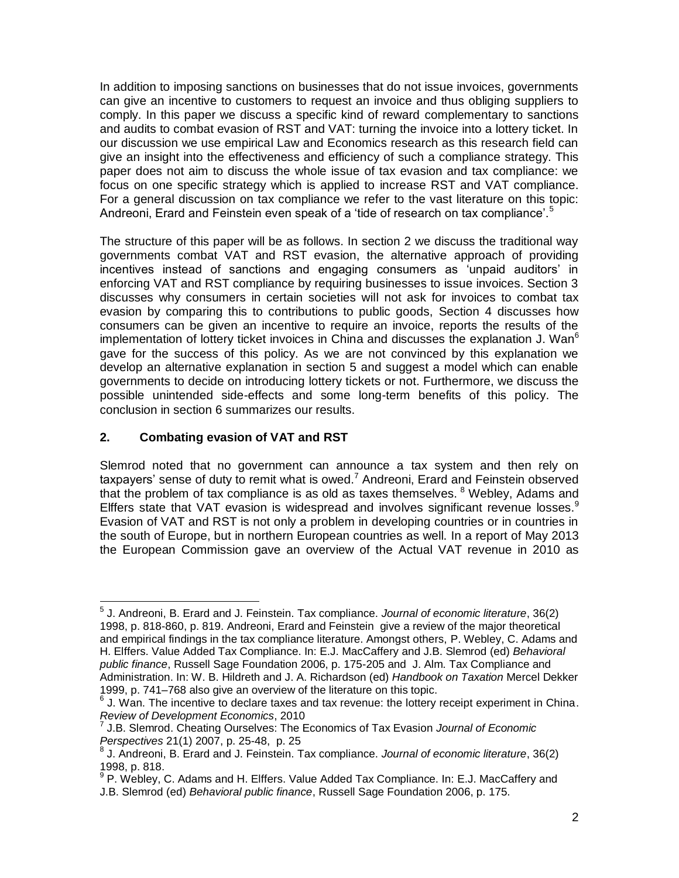In addition to imposing sanctions on businesses that do not issue invoices, governments can give an incentive to customers to request an invoice and thus obliging suppliers to comply. In this paper we discuss a specific kind of reward complementary to sanctions and audits to combat evasion of RST and VAT: turning the invoice into a lottery ticket. In our discussion we use empirical Law and Economics research as this research field can give an insight into the effectiveness and efficiency of such a compliance strategy. This paper does not aim to discuss the whole issue of tax evasion and tax compliance: we focus on one specific strategy which is applied to increase RST and VAT compliance. For a general discussion on tax compliance we refer to the vast literature on this topic: Andreoni, Erard and Feinstein even speak of a 'tide of research on tax compliance'.<sup>5</sup>

The structure of this paper will be as follows. In section 2 we discuss the traditional way governments combat VAT and RST evasion, the alternative approach of providing incentives instead of sanctions and engaging consumers as 'unpaid auditors' in enforcing VAT and RST compliance by requiring businesses to issue invoices. Section 3 discusses why consumers in certain societies will not ask for invoices to combat tax evasion by comparing this to contributions to public goods, Section 4 discusses how consumers can be given an incentive to require an invoice, reports the results of the implementation of lottery ticket invoices in China and discusses the explanation J. Wan $<sup>6</sup>$ </sup> gave for the success of this policy. As we are not convinced by this explanation we develop an alternative explanation in section 5 and suggest a model which can enable governments to decide on introducing lottery tickets or not. Furthermore, we discuss the possible unintended side-effects and some long-term benefits of this policy. The conclusion in section 6 summarizes our results.

# **2. Combating evasion of VAT and RST**

Slemrod noted that no government can announce a tax system and then rely on taxpayers' sense of duty to remit what is owed.<sup>7</sup> Andreoni, Erard and Feinstein observed that the problem of tax compliance is as old as taxes themselves.  $8$  Webley, Adams and Elffers state that VAT evasion is widespread and involves significant revenue losses. $9$ Evasion of VAT and RST is not only a problem in developing countries or in countries in the south of Europe, but in northern European countries as well. In a report of May 2013 the European Commission gave an overview of the Actual VAT revenue in 2010 as

 5 J. Andreoni, B. Erard and J. Feinstein. Tax compliance. *Journal of economic literature*, 36(2) 1998, p. 818-860, p. 819. Andreoni, Erard and Feinstein give a review of the major theoretical and empirical findings in the tax compliance literature. Amongst others, P. Webley, C. Adams and H. Elffers. Value Added Tax Compliance. In: E.J. MacCaffery and J.B. Slemrod (ed) *Behavioral public finance*, Russell Sage Foundation 2006, p. 175-205 and J. Alm. Tax Compliance and Administration. In: W. B. Hildreth and J. A. Richardson (ed) *Handbook on Taxation* Mercel Dekker 1999, p. 741–768 also give an overview of the literature on this topic.

<sup>6</sup> J. Wan. The incentive to declare taxes and tax revenue: the lottery receipt experiment in China. *Review of Development Economics*, 2010

<sup>7</sup> J.B. Slemrod. Cheating Ourselves: The Economics of Tax Evasion *Journal of Economic Perspectives* 21(1) 2007, p. 25-48, p. 25

<sup>8</sup> J. Andreoni, B. Erard and J. Feinstein. Tax compliance. *Journal of economic literature*, 36(2) 1998, p. 818.

 $9$  P. Webley, C. Adams and H. Elffers. Value Added Tax Compliance. In: E.J. MacCaffery and J.B. Slemrod (ed) *Behavioral public finance*, Russell Sage Foundation 2006, p. 175.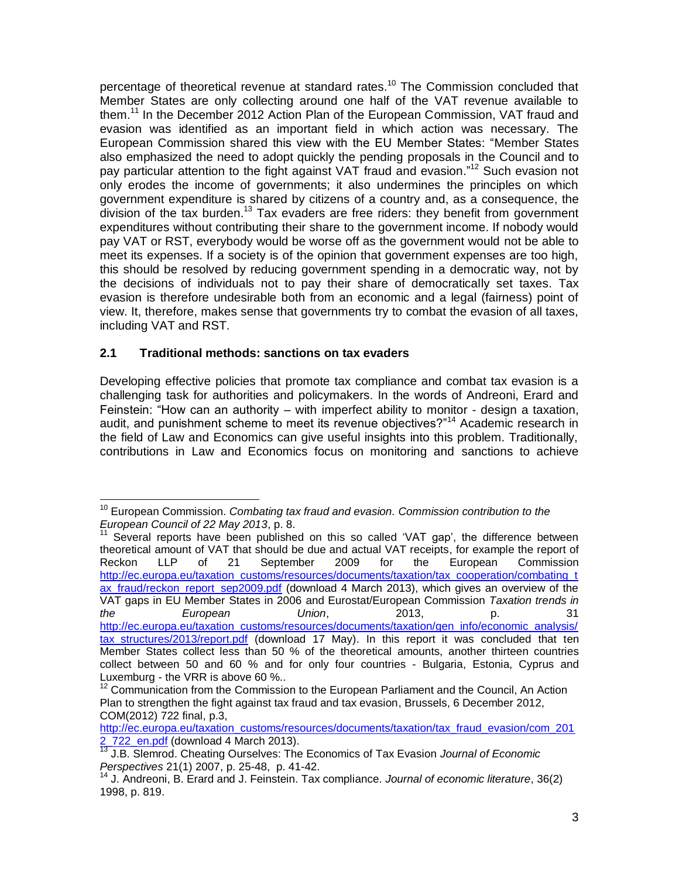percentage of theoretical revenue at standard rates.<sup>10</sup> The Commission concluded that Member States are only collecting around one half of the VAT revenue available to them.<sup>11</sup> In the December 2012 Action Plan of the European Commission, VAT fraud and evasion was identified as an important field in which action was necessary. The European Commission shared this view with the EU Member States: "Member States also emphasized the need to adopt quickly the pending proposals in the Council and to pay particular attention to the fight against VAT fraud and evasion."<sup>12</sup> Such evasion not only erodes the income of governments; it also undermines the principles on which government expenditure is shared by citizens of a country and, as a consequence, the division of the tax burden.<sup>13</sup> Tax evaders are free riders: they benefit from government expenditures without contributing their share to the government income. If nobody would pay VAT or RST, everybody would be worse off as the government would not be able to meet its expenses. If a society is of the opinion that government expenses are too high, this should be resolved by reducing government spending in a democratic way, not by the decisions of individuals not to pay their share of democratically set taxes. Tax evasion is therefore undesirable both from an economic and a legal (fairness) point of view. It, therefore, makes sense that governments try to combat the evasion of all taxes, including VAT and RST.

# **2.1 Traditional methods: sanctions on tax evaders**

Developing effective policies that promote tax compliance and combat tax evasion is a challenging task for authorities and policymakers. In the words of Andreoni, Erard and Feinstein: "How can an authority – with imperfect ability to monitor - design a taxation, audit, and punishment scheme to meet its revenue objectives?"<sup>14</sup> Academic research in the field of Law and Economics can give useful insights into this problem. Traditionally, contributions in Law and Economics focus on monitoring and sanctions to achieve

 <sup>10</sup> European Commission. *Combating tax fraud and evasion. Commission contribution to the European Council of 22 May 2013*, p. 8.

Several reports have been published on this so called 'VAT gap', the difference between theoretical amount of VAT that should be due and actual VAT receipts, for example the report of<br>Reckon LLP of 21 September 2009 for the European Commission Reckon LLP of 21 September 2009 for the European Commission [http://ec.europa.eu/taxation\\_customs/resources/documents/taxation/tax\\_cooperation/combating\\_t](http://ec.europa.eu/taxation_customs/resources/documents/taxation/tax_cooperation/combating_tax_fraud/reckon_report_sep2009.pdf) ax fraud/reckon\_report\_sep2009.pdf (download 4 March 2013), which gives an overview of the VAT gaps in EU Member States in 2006 and Eurostat/European Commission *Taxation trends in the European Union*, 2013, p. 31 [http://ec.europa.eu/taxation\\_customs/resources/documents/taxation/gen\\_info/economic\\_analysis/](http://ec.europa.eu/taxation_customs/resources/documents/taxation/gen_info/economic_analysis/tax_structures/2013/report.pdf) tax structures/2013/report.pdf (download 17 May). In this report it was concluded that ten Member States collect less than 50 % of the theoretical amounts, another thirteen countries collect between 50 and 60 % and for only four countries - Bulgaria, Estonia, Cyprus and Luxemburg - the VRR is above 60 %..

<sup>&</sup>lt;sup>12</sup> Communication from the Commission to the European Parliament and the Council, An Action Plan to strengthen the fight against tax fraud and tax evasion, Brussels, 6 December 2012, COM(2012) 722 final, p.3,

[http://ec.europa.eu/taxation\\_customs/resources/documents/taxation/tax\\_fraud\\_evasion/com\\_201](http://ec.europa.eu/taxation_customs/resources/documents/taxation/tax_fraud_evasion/com_2012_722_en.pdf) [2\\_722\\_en.pdf](http://ec.europa.eu/taxation_customs/resources/documents/taxation/tax_fraud_evasion/com_2012_722_en.pdf) (download 4 March 2013).

<sup>13</sup> J.B. Slemrod. Cheating Ourselves: The Economics of Tax Evasion *Journal of Economic Perspectives* 21(1) 2007, p. 25-48, p. 41-42.

<sup>14</sup> J. Andreoni, B. Erard and J. Feinstein. Tax compliance. *Journal of economic literature*, 36(2) 1998, p. 819.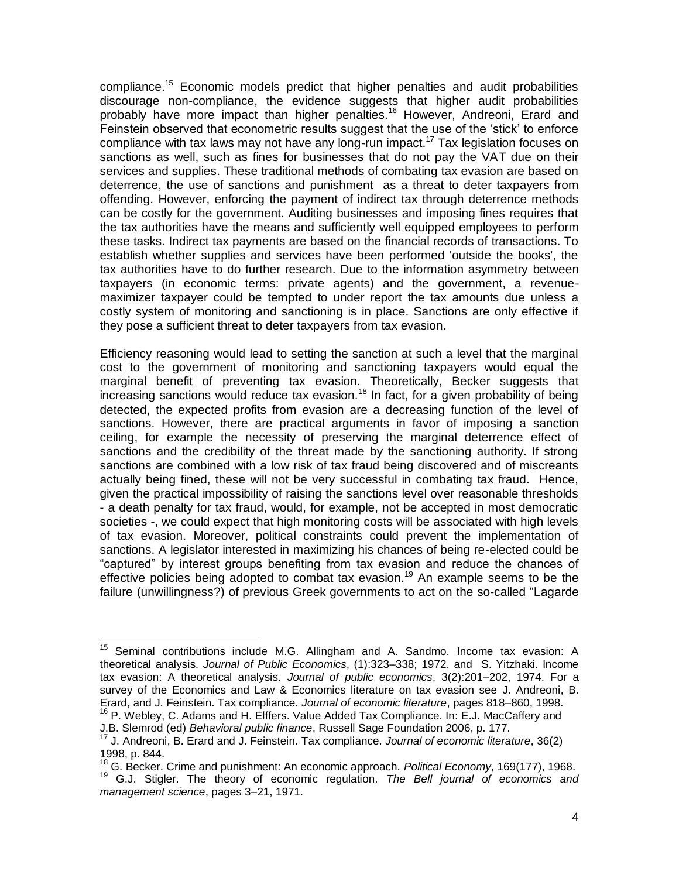compliance.<sup>15</sup> Economic models predict that higher penalties and audit probabilities discourage non-compliance, the evidence suggests that higher audit probabilities probably have more impact than higher penalties.<sup>16</sup> However, Andreoni, Erard and Feinstein observed that econometric results suggest that the use of the 'stick' to enforce compliance with tax laws may not have any long-run impact.<sup>17</sup> Tax legislation focuses on sanctions as well, such as fines for businesses that do not pay the VAT due on their services and supplies. These traditional methods of combating tax evasion are based on deterrence, the use of sanctions and [punishment](http://en.wikipedia.org/wiki/Punishment) as a threat to deter taxpayers from offending. However, enforcing the payment of indirect tax through deterrence methods can be costly for the government. Auditing businesses and imposing fines requires that the tax authorities have the means and sufficiently well equipped employees to perform these tasks. Indirect tax payments are based on the financial records of transactions. To establish whether supplies and services have been performed 'outside the books', the tax authorities have to do further research. Due to the information asymmetry between taxpayers (in economic terms: private agents) and the government, a revenuemaximizer taxpayer could be tempted to under report the tax amounts due unless a costly system of monitoring and sanctioning is in place. Sanctions are only effective if they pose a sufficient threat to deter taxpayers from tax evasion.

Efficiency reasoning would lead to setting the sanction at such a level that the marginal cost to the government of monitoring and sanctioning taxpayers would equal the marginal benefit of preventing tax evasion. Theoretically, Becker suggests that increasing sanctions would reduce tax evasion.<sup>18</sup> In fact, for a given probability of being detected, the expected profits from evasion are a decreasing function of the level of sanctions. However, there are practical arguments in favor of imposing a sanction ceiling, for example the necessity of preserving the marginal deterrence effect of sanctions and the credibility of the threat made by the sanctioning authority. If strong sanctions are combined with a low risk of tax fraud being discovered and of miscreants actually being fined, these will not be very successful in combating tax fraud. Hence, given the practical impossibility of raising the sanctions level over reasonable thresholds - a death penalty for tax fraud, would, for example, not be accepted in most democratic societies -, we could expect that high monitoring costs will be associated with high levels of tax evasion. Moreover, political constraints could prevent the implementation of sanctions. A legislator interested in maximizing his chances of being re-elected could be "captured" by interest groups benefiting from tax evasion and reduce the chances of effective policies being adopted to combat tax evasion.<sup>19</sup> An example seems to be the failure (unwillingness?) of previous Greek governments to act on the so-called "Lagarde

  $15$  Seminal contributions include M.G. Allingham and A. Sandmo. Income tax evasion: A theoretical analysis. *Journal of Public Economics*, (1):323–338; 1972. and S. Yitzhaki. Income tax evasion: A theoretical analysis. *Journal of public economics*, 3(2):201–202, 1974. For a survey of the Economics and Law & Economics literature on tax evasion see J. Andreoni, B. Erard, and J. Feinstein. Tax compliance. *Journal of economic literature*, pages 818–860, 1998.  $16$  P. Webley, C. Adams and H. Elffers. Value Added Tax Compliance. In: E.J. MacCaffery and

J.B. Slemrod (ed) *Behavioral public finance*, Russell Sage Foundation 2006, p. 177.

<sup>17</sup> J. Andreoni, B. Erard and J. Feinstein. Tax compliance. *Journal of economic literature*, 36(2) 1998, p. 844.

<sup>18</sup> G. Becker. Crime and punishment: An economic approach. *Political Economy*, 169(177), 1968. <sup>19</sup> G.J. Stigler. The theory of economic regulation. *The Bell journal of economics and management science*, pages 3–21, 1971.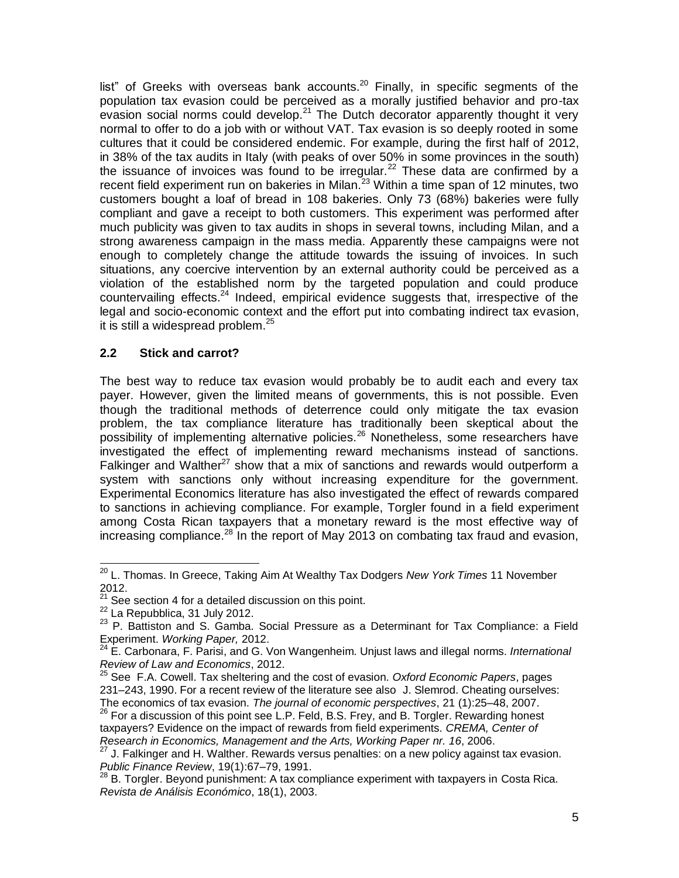list" of Greeks with overseas bank accounts.<sup>20</sup> Finally, in specific segments of the population tax evasion could be perceived as a morally justified behavior and pro-tax evasion social norms could develop.<sup>21</sup> The Dutch decorator apparently thought it very normal to offer to do a job with or without VAT. Tax evasion is so deeply rooted in some cultures that it could be considered endemic. For example, during the first half of 2012, in 38% of the tax audits in Italy (with peaks of over 50% in some provinces in the south) the issuance of invoices was found to be irregular.<sup>22</sup> These data are confirmed by a recent field experiment run on bakeries in Milan.<sup>23</sup> Within a time span of 12 minutes, two customers bought a loaf of bread in 108 bakeries. Only 73 (68%) bakeries were fully compliant and gave a receipt to both customers. This experiment was performed after much publicity was given to tax audits in shops in several towns, including Milan, and a strong awareness campaign in the mass media. Apparently these campaigns were not enough to completely change the attitude towards the issuing of invoices. In such situations, any coercive intervention by an external authority could be perceived as a violation of the established norm by the targeted population and could produce countervailing effects.<sup>24</sup> Indeed, empirical evidence suggests that, irrespective of the legal and socio-economic context and the effort put into combating indirect tax evasion, it is still a widespread problem. $^{25}$ 

#### **2.2 Stick and carrot?**

The best way to reduce tax evasion would probably be to audit each and every tax payer. However, given the limited means of governments, this is not possible. Even though the traditional methods of deterrence could only mitigate the tax evasion problem, the tax compliance literature has traditionally been skeptical about the possibility of implementing alternative policies.<sup>26</sup> Nonetheless, some researchers have investigated the effect of implementing reward mechanisms instead of sanctions. Falkinger and Walther<sup>27</sup> show that a mix of sanctions and rewards would outperform a system with sanctions only without increasing expenditure for the government. Experimental Economics literature has also investigated the effect of rewards compared to sanctions in achieving compliance. For example, Torgler found in a field experiment among Costa Rican taxpayers that a monetary reward is the most effective way of increasing compliance. $^{28}$  In the report of May 2013 on combating tax fraud and evasion,

 <sup>20</sup> L. Thomas. In Greece, Taking Aim At Wealthy Tax Dodgers *New York Times* 11 November 2012.

 $21$  See section 4 for a detailed discussion on this point.

 $22$  La Repubblica, 31 July 2012.

<sup>&</sup>lt;sup>23</sup> P. Battiston and S. Gamba. Social Pressure as a Determinant for Tax Compliance: a Field Experiment. *Working Paper,* 2012.

<sup>24</sup> E. Carbonara, F. Parisi, and G. Von Wangenheim. Unjust laws and illegal norms. *International Review of Law and Economics*, 2012.

<sup>25</sup> See F.A. Cowell. Tax sheltering and the cost of evasion*. Oxford Economic Papers*, pages 231–243, 1990. For a recent review of the literature see also J. Slemrod. Cheating ourselves: The economics of tax evasion. *The journal of economic perspectives*, 21 (1):25–48, 2007.

 $26$  For a discussion of this point see L.P. Feld, B.S. Frey, and B. Torgler. Rewarding honest taxpayers? Evidence on the impact of rewards from field experiments. *CREMA, Center of Research in Economics, Management and the Arts, Working Paper nr. 16*, 2006.

<sup>27</sup> J. Falkinger and H. Walther. Rewards versus penalties: on a new policy against tax evasion. *Public Finance Review*, 19(1):67–79, 1991.

 $^{28}$  B. Torgler. Beyond punishment: A tax compliance experiment with taxpayers in Costa Rica. *Revista de Análisis Económico*, 18(1), 2003.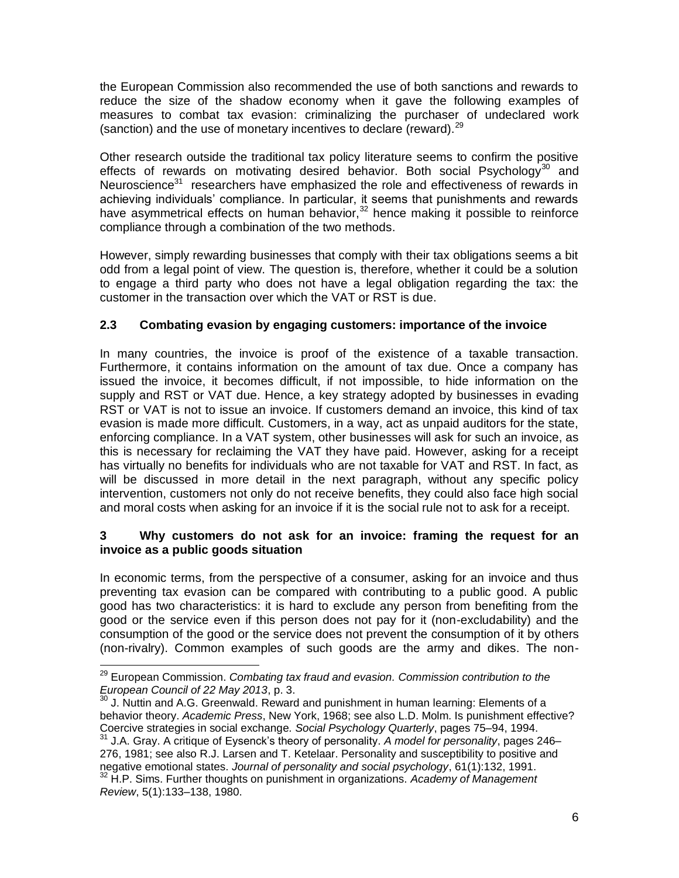the European Commission also recommended the use of both sanctions and rewards to reduce the size of the shadow economy when it gave the following examples of measures to combat tax evasion: criminalizing the purchaser of undeclared work (sanction) and the use of monetary incentives to declare (reward). $^{29}$ 

Other research outside the traditional tax policy literature seems to confirm the positive effects of rewards on motivating desired behavior. Both social Psychology<sup>30</sup> and Neuroscience<sup>31</sup> researchers have emphasized the role and effectiveness of rewards in achieving individuals' compliance. In particular, it seems that punishments and rewards have asymmetrical effects on human behavior, $32$  hence making it possible to reinforce compliance through a combination of the two methods.

However, simply rewarding businesses that comply with their tax obligations seems a bit odd from a legal point of view. The question is, therefore, whether it could be a solution to engage a third party who does not have a legal obligation regarding the tax: the customer in the transaction over which the VAT or RST is due.

# **2.3 Combating evasion by engaging customers: importance of the invoice**

In many countries, the invoice is proof of the existence of a taxable transaction. Furthermore, it contains information on the amount of tax due. Once a company has issued the invoice, it becomes difficult, if not impossible, to hide information on the supply and RST or VAT due. Hence, a key strategy adopted by businesses in evading RST or VAT is not to issue an invoice. If customers demand an invoice, this kind of tax evasion is made more difficult. Customers, in a way, act as unpaid auditors for the state, enforcing compliance. In a VAT system, other businesses will ask for such an invoice, as this is necessary for reclaiming the VAT they have paid. However, asking for a receipt has virtually no benefits for individuals who are not taxable for VAT and RST. In fact, as will be discussed in more detail in the next paragraph, without any specific policy intervention, customers not only do not receive benefits, they could also face high social and moral costs when asking for an invoice if it is the social rule not to ask for a receipt.

## **3 Why customers do not ask for an invoice: framing the request for an invoice as a public goods situation**

In economic terms, from the perspective of a consumer, asking for an invoice and thus preventing tax evasion can be compared with contributing to a public good. A public good has two characteristics: it is hard to exclude any person from benefiting from the good or the service even if this person does not pay for it (non-excludability) and the consumption of the good or the service does not prevent the consumption of it by others (non-rivalry). Common examples of such goods are the army and dikes. The non-

 <sup>29</sup> European Commission. *Combating tax fraud and evasion. Commission contribution to the European Council of 22 May 2013*, p. 3.

<sup>30</sup> J. Nuttin and A.G. Greenwald. Reward and punishment in human learning: Elements of a behavior theory. *Academic Press*, New York, 1968; see also L.D. Molm. Is punishment effective? Coercive strategies in social exchange*. Social Psychology Quarterly*, pages 75–94, 1994.

<sup>31</sup> J.A. Gray. A critique of Eysenck's theory of personality. *A model for personality*, pages 246– 276, 1981; see also R.J. Larsen and T. Ketelaar. Personality and susceptibility to positive and negative emotional states. *Journal of personality and social psychology*, 61(1):132, 1991.

<sup>32</sup> H.P. Sims. Further thoughts on punishment in organizations. *Academy of Management Review*, 5(1):133–138, 1980.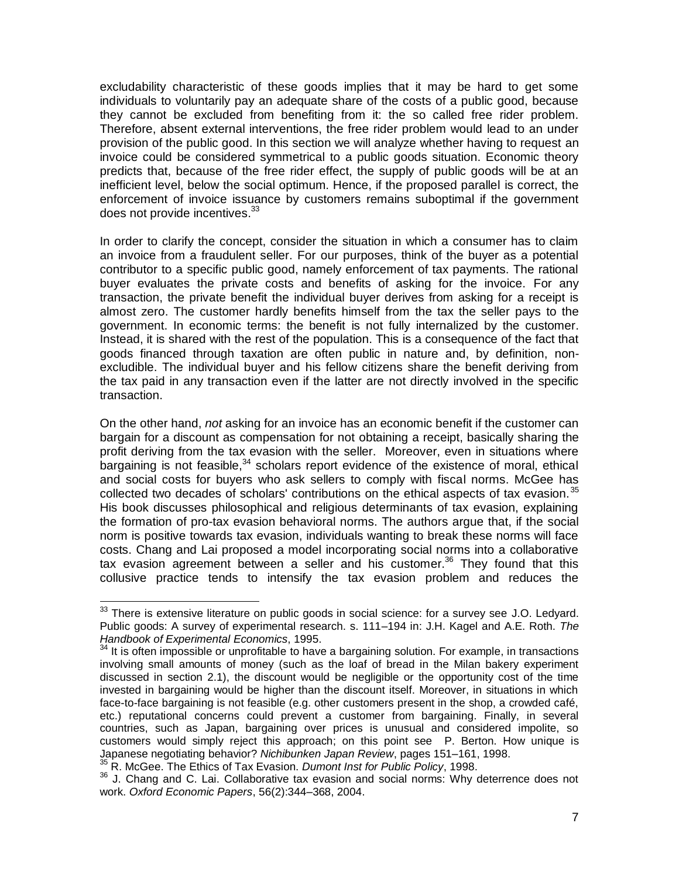excludability characteristic of these goods implies that it may be hard to get some individuals to voluntarily pay an adequate share of the costs of a public good, because they cannot be excluded from benefiting from it: the so called free rider problem. Therefore, absent external interventions, the free rider problem would lead to an under provision of the public good. In this section we will analyze whether having to request an invoice could be considered symmetrical to a public goods situation. Economic theory predicts that, because of the free rider effect, the supply of public goods will be at an inefficient level, below the social optimum. Hence, if the proposed parallel is correct, the enforcement of invoice issuance by customers remains suboptimal if the government does not provide incentives.<sup>33</sup>

In order to clarify the concept, consider the situation in which a consumer has to claim an invoice from a fraudulent seller. For our purposes, think of the buyer as a potential contributor to a specific public good, namely enforcement of tax payments. The rational buyer evaluates the private costs and benefits of asking for the invoice. For any transaction, the private benefit the individual buyer derives from asking for a receipt is almost zero. The customer hardly benefits himself from the tax the seller pays to the government. In economic terms: the benefit is not fully internalized by the customer. Instead, it is shared with the rest of the population. This is a consequence of the fact that goods financed through taxation are often public in nature and, by definition, nonexcludible. The individual buyer and his fellow citizens share the benefit deriving from the tax paid in any transaction even if the latter are not directly involved in the specific transaction.

On the other hand, *not* asking for an invoice has an economic benefit if the customer can bargain for a discount as compensation for not obtaining a receipt, basically sharing the profit deriving from the tax evasion with the seller. Moreover, even in situations where  $b$ argaining is not feasible.<sup>34</sup> scholars report evidence of the existence of moral, ethical and social costs for buyers who ask sellers to comply with fiscal norms. McGee has collected two decades of scholars' contributions on the ethical aspects of tax evasion.<sup>35</sup> His book discusses philosophical and religious determinants of tax evasion, explaining the formation of pro-tax evasion behavioral norms. The authors argue that, if the social norm is positive towards tax evasion, individuals wanting to break these norms will face costs. Chang and Lai proposed a model incorporating social norms into a collaborative tax evasion agreement between a seller and his customer.<sup>36</sup> They found that this collusive practice tends to intensify the tax evasion problem and reduces the

 $\overline{a}$ 

 $33$  There is extensive literature on public goods in social science: for a survey see J.O. Ledyard. Public goods: A survey of experimental research. s. 111–194 in: J.H. Kagel and A.E. Roth. *The Handbook of Experimental Economics*, 1995.

 $34$  It is often impossible or unprofitable to have a bargaining solution. For example, in transactions involving small amounts of money (such as the loaf of bread in the Milan bakery experiment discussed in section 2.1), the discount would be negligible or the opportunity cost of the time invested in bargaining would be higher than the discount itself. Moreover, in situations in which face-to-face bargaining is not feasible (e.g. other customers present in the shop, a crowded café, etc.) reputational concerns could prevent a customer from bargaining. Finally, in several countries, such as Japan, bargaining over prices is unusual and considered impolite, so customers would simply reject this approach; on this point see P. Berton. How unique is Japanese negotiating behavior? *Nichibunken Japan Review*, pages 151–161, 1998.

<sup>35</sup> R. McGee. The Ethics of Tax Evasion. *Dumont Inst for Public Policy*, 1998.

<sup>36</sup> J. Chang and C. Lai. Collaborative tax evasion and social norms: Why deterrence does not work. *Oxford Economic Papers*, 56(2):344–368, 2004.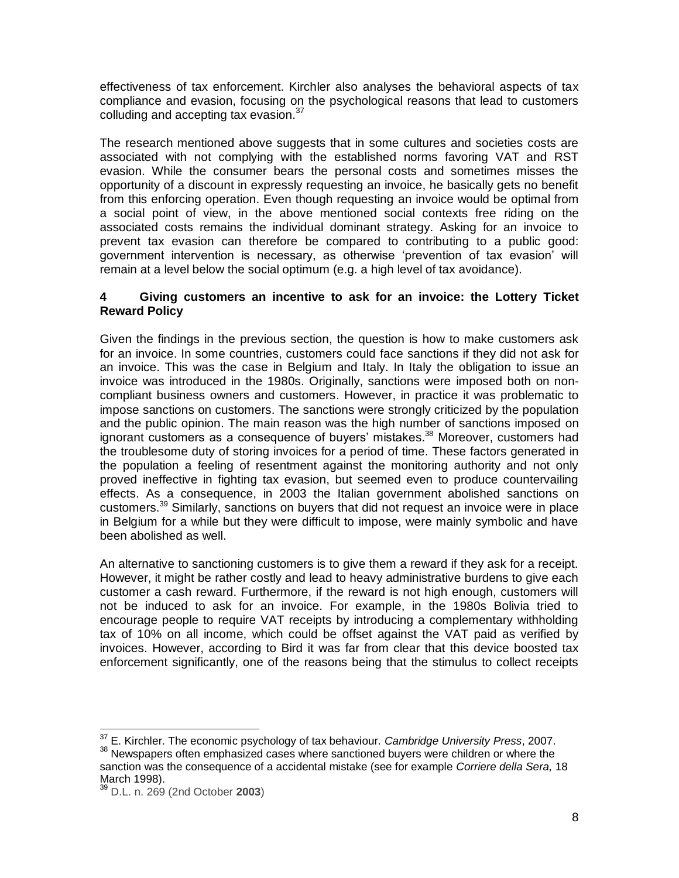[effectiveness](http://www.vertalen.nu/woord/en/22300/effectiveness/) of tax enforcement. Kirchler also analyses the behavioral aspects of tax compliance and evasion, focusing on the psychological reasons that lead to customers colluding and accepting tax evasion.<sup>37</sup>

The research mentioned above suggests that in some cultures and societies costs are associated with not complying with the established norms favoring VAT and RST evasion. While the consumer bears the personal costs and sometimes misses the opportunity of a discount in expressly requesting an invoice, he basically gets no benefit from this enforcing operation. Even though requesting an invoice would be optimal from a social point of view, in the above mentioned social contexts free riding on the associated costs remains the individual dominant strategy. Asking for an invoice to prevent tax evasion can therefore be compared to contributing to a public good: government intervention is necessary, as otherwise 'prevention of tax evasion' will remain at a level below the social optimum (e.g. a high level of tax avoidance).

#### **4 Giving customers an incentive to ask for an invoice: the Lottery Ticket Reward Policy**

Given the findings in the previous section, the question is how to make customers ask for an invoice. In some countries, customers could face sanctions if they did not ask for an invoice. This was the case in Belgium and Italy. In Italy the obligation to issue an invoice was introduced in the 1980s. Originally, sanctions were imposed both on noncompliant business owners and customers. However, in practice it was problematic to impose sanctions on customers. The sanctions were strongly criticized by the population and the public opinion. The main reason was the high number of sanctions imposed on ignorant customers as a consequence of buyers' mistakes.<sup>38</sup> Moreover, customers had the troublesome duty of storing invoices for a period of time. These factors generated in the population a feeling of resentment against the monitoring authority and not only proved ineffective in fighting tax evasion, but seemed even to produce countervailing effects. As a consequence, in 2003 the Italian government abolished sanctions on customers.<sup>39</sup> Similarly, sanctions on buyers that did not request an invoice were in place in Belgium for a while but they were difficult to impose, were mainly symbolic and have been abolished as well.

An alternative to sanctioning customers is to give them a reward if they ask for a receipt. However, it might be rather costly and lead to heavy administrative burdens to give each customer a cash reward. Furthermore, if the reward is not high enough, customers will not be induced to ask for an invoice. For example, in the 1980s Bolivia tried to encourage people to require VAT receipts by introducing a complementary withholding tax of 10% on all income, which could be offset against the VAT paid as verified by invoices. However, according to Bird it was far from clear that this device boosted tax enforcement significantly, one of the reasons being that the stimulus to collect receipts

 <sup>37</sup> E. Kirchler. The economic psychology of tax behaviour. *Cambridge University Press*, 2007. <sup>38</sup> Newspapers often emphasized cases where sanctioned buyers were children or where the sanction was the consequence of a accidental mistake (see for example *Corriere della Sera,* 18 March 1998).

<sup>39</sup> D.L. n. 269 (2nd October **2003**)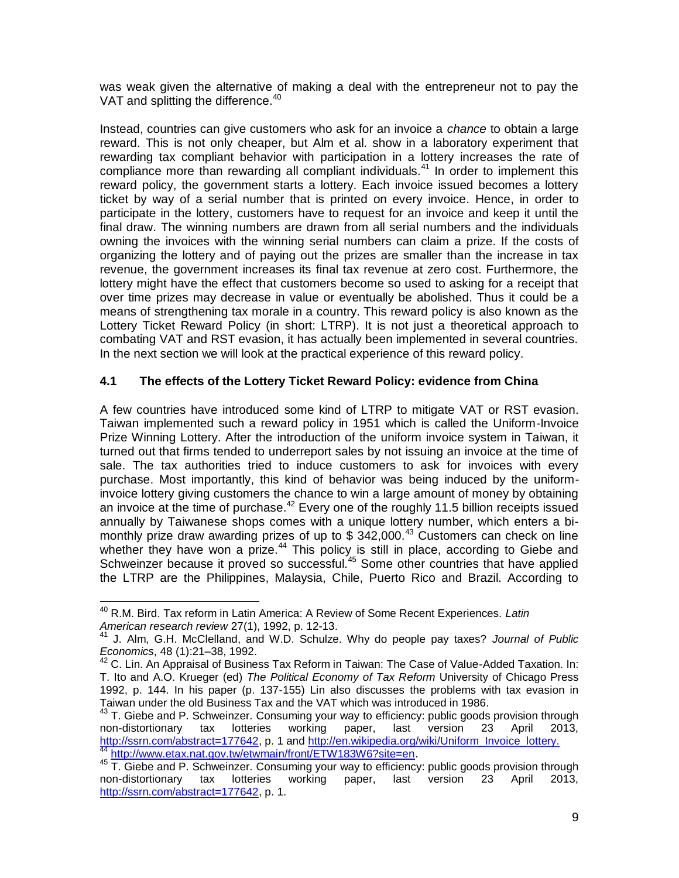was weak given the alternative of making a deal with the entrepreneur not to pay the VAT and splitting the difference.<sup>40</sup>

Instead, countries can give customers who ask for an invoice a *chance* to obtain a large reward. This is not only cheaper, but Alm et al. show in a laboratory experiment that rewarding tax compliant behavior with participation in a lottery increases the rate of compliance more than rewarding all compliant individuals.<sup>41</sup> In order to implement this reward policy, the government starts a lottery. Each invoice issued becomes a lottery ticket by way of a serial number that is printed on every invoice. Hence, in order to participate in the lottery, customers have to request for an invoice and keep it until the final draw. The winning numbers are drawn from all serial numbers and the individuals owning the invoices with the winning serial numbers can claim a prize. If the costs of organizing the lottery and of paying out the prizes are smaller than the increase in tax revenue, the government increases its final tax revenue at zero cost. Furthermore, the lottery might have the effect that customers become so used to asking for a receipt that over time prizes may decrease in value or eventually be abolished. Thus it could be a means of strengthening tax morale in a country. This reward policy is also known as the Lottery Ticket Reward Policy (in short: LTRP). It is not just a theoretical approach to combating VAT and RST evasion, it has actually been implemented in several countries. In the next section we will look at the practical experience of this reward policy.

## **4.1 The effects of the Lottery Ticket Reward Policy: evidence from China**

A few countries have introduced some kind of LTRP to mitigate VAT or RST evasion. Taiwan implemented such a reward policy in 1951 which is called the Uniform-Invoice Prize Winning Lottery. After the introduction of the uniform invoice system in Taiwan, it turned out that firms tended to underreport sales by not issuing an invoice at the time of sale. The tax authorities tried to induce customers to ask for invoices with every purchase. Most importantly, this kind of behavior was being induced by the uniforminvoice lottery giving customers the chance to win a large amount of money by obtaining an invoice at the time of purchase. $42$  Every one of the roughly 11.5 billion receipts issued annually by Taiwanese shops comes with a unique lottery number, which enters a bimonthly prize draw awarding prizes of up to  $$342,000.<sup>43</sup>$  Customers can check on line whether they have won a prize.<sup>44</sup> This policy is still in place, according to Giebe and Schweinzer because it proved so successful.<sup>45</sup> Some other countries that have applied the LTRP are the Philippines, Malaysia, Chile, Puerto Rico and Brazil. According to

 $\overline{a}$ 

<sup>40</sup> R.M. Bird. Tax reform in Latin America: A Review of Some Recent Experiences. *Latin American research review* 27(1), 1992, p. 12-13.

<sup>41</sup> J. Alm, G.H. McClelland, and W.D. Schulze. Why do people pay taxes? *Journal of Public Economics*, 48 (1):21–38, 1992.

 $42$  C. Lin. An Appraisal of Business Tax Reform in Taiwan: The Case of Value-Added Taxation. In: T. Ito and A.O. Krueger (ed) *The Political Economy of Tax Reform* University of Chicago Press 1992, p. 144. In his paper (p. 137-155) Lin also discusses the problems with tax evasion in Taiwan under the old Business Tax and the VAT which was introduced in 1986.

<sup>&</sup>lt;sup>43</sup> T. Giebe and P. Schweinzer. Consuming your way to efficiency: public goods provision through non-distortionary tax lotteries working paper, last version 23 April 2013, [http://ssrn.com/abstract=177642,](http://ssrn.com/abstract=177642) p. 1 and [http://en.wikipedia.org/wiki/Uniform\\_Invoice\\_lottery.](http://en.wikipedia.org/wiki/Uniform_Invoice_lottery.) 44 [http://www.etax.nat.gov.tw/etwmain/front/ETW183W6?site=en.](http://www.etax.nat.gov.tw/etwmain/front/ETW183W6?site=en)

<sup>45</sup> T. Giebe and P. Schweinzer. Consuming your way to efficiency: public goods provision through non-distortionary tax lotteries working paper, last version 23 April 2013, [http://ssrn.com/abstract=177642,](http://ssrn.com/abstract=177642) p. 1.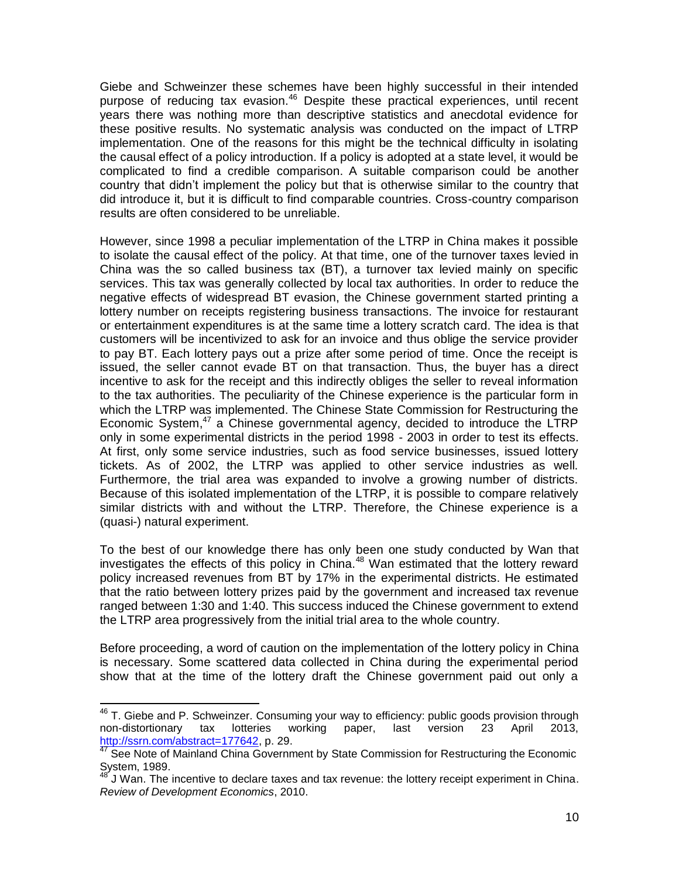Giebe and Schweinzer these schemes have been highly successful in their intended purpose of reducing tax evasion.<sup>46</sup> Despite these practical experiences, until recent years there was nothing more than descriptive statistics and anecdotal evidence for these positive results. No systematic analysis was conducted on the impact of LTRP implementation. One of the reasons for this might be the technical difficulty in isolating the causal effect of a policy introduction. If a policy is adopted at a state level, it would be complicated to find a credible comparison. A suitable comparison could be another country that didn't implement the policy but that is otherwise similar to the country that did introduce it, but it is difficult to find comparable countries. Cross-country comparison results are often considered to be unreliable.

However, since 1998 a peculiar implementation of the LTRP in China makes it possible to isolate the causal effect of the policy. At that time, one of the turnover taxes levied in China was the so called business tax (BT), a turnover tax levied mainly on specific services. This tax was generally collected by local tax authorities. In order to reduce the negative effects of widespread BT evasion, the Chinese government started printing a lottery number on receipts registering business transactions. The invoice for restaurant or entertainment expenditures is at the same time a lottery scratch card. The idea is that customers will be incentivized to ask for an invoice and thus oblige the service provider to pay BT. Each lottery pays out a prize after some period of time. Once the receipt is issued, the seller cannot evade BT on that transaction. Thus, the buyer has a direct incentive to ask for the receipt and this indirectly obliges the seller to reveal information to the tax authorities. The peculiarity of the Chinese experience is the particular form in which the LTRP was implemented. The Chinese State Commission for Restructuring the Economic System, $47$  a Chinese governmental agency, decided to introduce the LTRP only in some experimental districts in the period 1998 - 2003 in order to test its effects. At first, only some service industries, such as food service businesses, issued lottery tickets. As of 2002, the LTRP was applied to other service industries as well. Furthermore, the trial area was expanded to involve a growing number of districts. Because of this isolated implementation of the LTRP, it is possible to compare relatively similar districts with and without the LTRP. Therefore, the Chinese experience is a (quasi-) natural experiment.

To the best of our knowledge there has only been one study conducted by Wan that investigates the effects of this policy in China.<sup>48</sup> Wan estimated that the lottery reward policy increased revenues from BT by 17% in the experimental districts. He estimated that the ratio between lottery prizes paid by the government and increased tax revenue ranged between 1:30 and 1:40. This success induced the Chinese government to extend the LTRP area progressively from the initial trial area to the whole country.

Before proceeding, a word of caution on the implementation of the lottery policy in China is necessary. Some scattered data collected in China during the experimental period show that at the time of the lottery draft the Chinese government paid out only a

  $^{46}$  T. Giebe and P. Schweinzer. Consuming your way to efficiency: public goods provision through non-distortionary tax lotteries working paper, last version 23 April 2013, [http://ssrn.com/abstract=177642,](http://ssrn.com/abstract=177642) p. 29.

<sup>&</sup>lt;sup>47</sup> See Note of Mainland China Government by State Commission for Restructuring the Economic System, 1989.

J Wan. The incentive to declare taxes and tax revenue: the lottery receipt experiment in China. *Review of Development Economics*, 2010.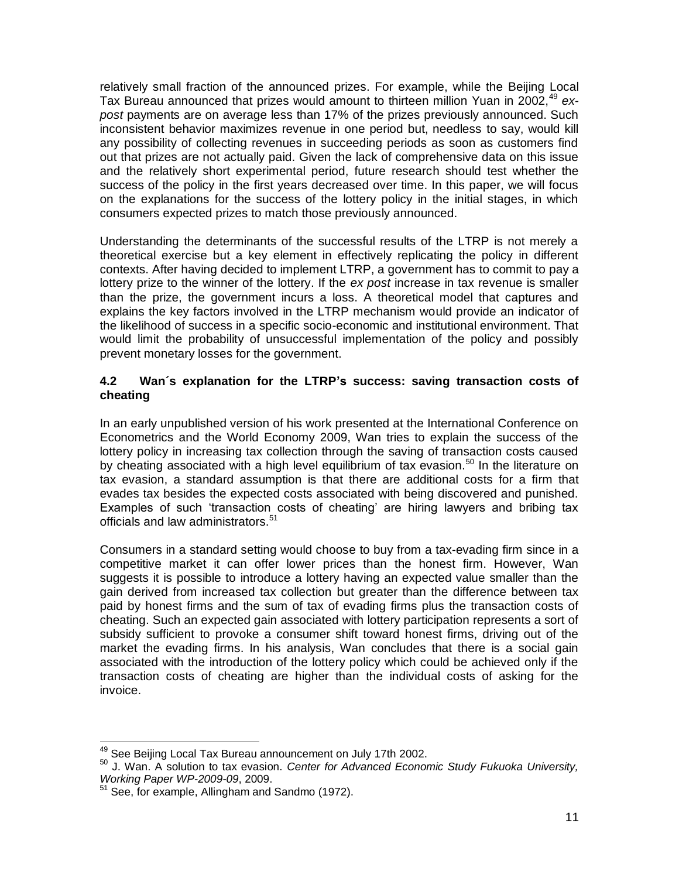relatively small fraction of the announced prizes. For example, while the Beijing Local Tax Bureau announced that prizes would amount to thirteen million Yuan in 2002,<sup>49</sup> ex*post* payments are on average less than 17% of the prizes previously announced. Such inconsistent behavior maximizes revenue in one period but, needless to say, would kill any possibility of collecting revenues in succeeding periods as soon as customers find out that prizes are not actually paid. Given the lack of comprehensive data on this issue and the relatively short experimental period, future research should test whether the success of the policy in the first years decreased over time. In this paper, we will focus on the explanations for the success of the lottery policy in the initial stages, in which consumers expected prizes to match those previously announced.

Understanding the determinants of the successful results of the LTRP is not merely a theoretical exercise but a key element in effectively replicating the policy in different contexts. After having decided to implement LTRP, a government has to commit to pay a lottery prize to the winner of the lottery. If the *ex post* increase in tax revenue is smaller than the prize, the government incurs a loss. A theoretical model that captures and explains the key factors involved in the LTRP mechanism would provide an indicator of the likelihood of success in a specific socio-economic and institutional environment. That would limit the probability of unsuccessful implementation of the policy and possibly prevent monetary losses for the government.

#### **4.2 Wan´s explanation for the LTRP's success: saving transaction costs of cheating**

In an early unpublished version of his work presented at the International Conference on Econometrics and the World Economy 2009, Wan tries to explain the success of the lottery policy in increasing tax collection through the saving of transaction costs caused by cheating associated with a high level equilibrium of tax evasion.<sup>50</sup> In the literature on tax evasion, a standard assumption is that there are additional costs for a firm that evades tax besides the expected costs associated with being discovered and punished. Examples of such 'transaction costs of cheating' are hiring lawyers and bribing tax officials and law administrators.<sup>51</sup>

Consumers in a standard setting would choose to buy from a tax-evading firm since in a competitive market it can offer lower prices than the honest firm. However, Wan suggests it is possible to introduce a lottery having an expected value smaller than the gain derived from increased tax collection but greater than the difference between tax paid by honest firms and the sum of tax of evading firms plus the transaction costs of cheating. Such an expected gain associated with lottery participation represents a sort of subsidy sufficient to provoke a consumer shift toward honest firms, driving out of the market the evading firms. In his analysis, Wan concludes that there is a social gain associated with the introduction of the lottery policy which could be achieved only if the transaction costs of cheating are higher than the individual costs of asking for the invoice.

<sup>&</sup>lt;sup>49</sup> See Beijing Local Tax Bureau announcement on July 17th 2002.

<sup>50</sup> J. Wan. A solution to tax evasion. *Center for Advanced Economic Study Fukuoka University, Working Paper WP-2009-09*, 2009.

<sup>51</sup> See, for example, Allingham and Sandmo (1972).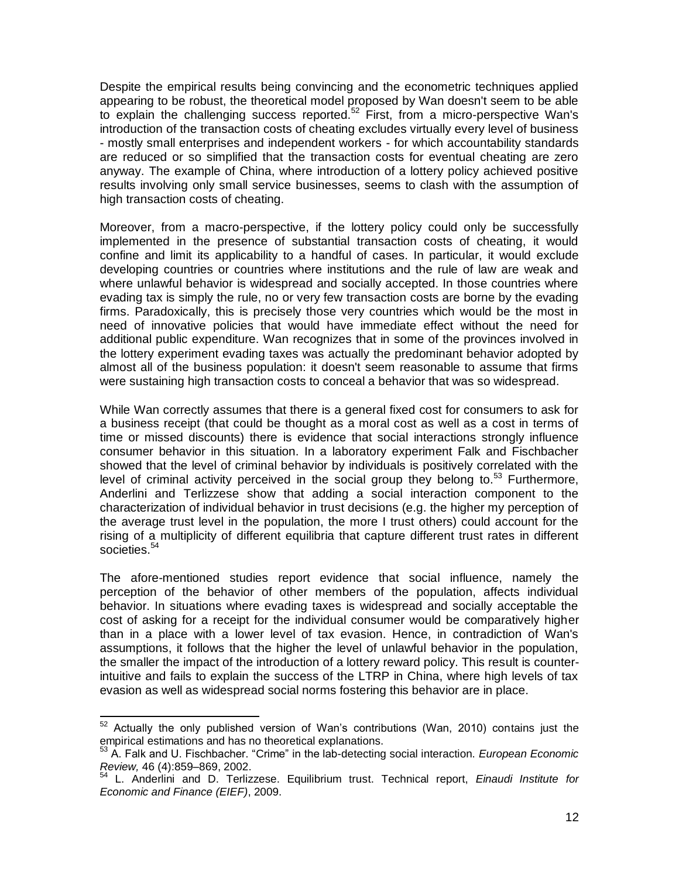Despite the empirical results being convincing and the econometric techniques applied appearing to be robust, the theoretical model proposed by Wan doesn't seem to be able to explain the challenging success reported.<sup>52</sup> First, from a micro-perspective Wan's introduction of the transaction costs of cheating excludes virtually every level of business - mostly small enterprises and independent workers - for which accountability standards are reduced or so simplified that the transaction costs for eventual cheating are zero anyway. The example of China, where introduction of a lottery policy achieved positive results involving only small service businesses, seems to clash with the assumption of high transaction costs of cheating.

Moreover, from a macro-perspective, if the lottery policy could only be successfully implemented in the presence of substantial transaction costs of cheating, it would confine and limit its applicability to a handful of cases. In particular, it would exclude developing countries or countries where institutions and the rule of law are weak and where unlawful behavior is widespread and socially accepted. In those countries where evading tax is simply the rule, no or very few transaction costs are borne by the evading firms. Paradoxically, this is precisely those very countries which would be the most in need of innovative policies that would have immediate effect without the need for additional public expenditure. Wan recognizes that in some of the provinces involved in the lottery experiment evading taxes was actually the predominant behavior adopted by almost all of the business population: it doesn't seem reasonable to assume that firms were sustaining high transaction costs to conceal a behavior that was so widespread.

While Wan correctly assumes that there is a general fixed cost for consumers to ask for a business receipt (that could be thought as a moral cost as well as a cost in terms of time or missed discounts) there is evidence that social interactions strongly influence consumer behavior in this situation. In a laboratory experiment Falk and Fischbacher showed that the level of criminal behavior by individuals is positively correlated with the level of criminal activity perceived in the social group they belong to. $53$  Furthermore, Anderlini and Terlizzese show that adding a social interaction component to the characterization of individual behavior in trust decisions (e.g. the higher my perception of the average trust level in the population, the more I trust others) could account for the rising of a multiplicity of different equilibria that capture different trust rates in different societies.<sup>54</sup>

The afore-mentioned studies report evidence that social influence, namely the perception of the behavior of other members of the population, affects individual behavior. In situations where evading taxes is widespread and socially acceptable the cost of asking for a receipt for the individual consumer would be comparatively higher than in a place with a lower level of tax evasion. Hence, in contradiction of Wan's assumptions, it follows that the higher the level of unlawful behavior in the population, the smaller the impact of the introduction of a lottery reward policy. This result is counterintuitive and fails to explain the success of the LTRP in China, where high levels of tax evasion as well as widespread social norms fostering this behavior are in place.

  $52$  Actually the only published version of Wan's contributions (Wan, 2010) contains just the empirical estimations and has no theoretical explanations.

<sup>53</sup> A. Falk and U. Fischbacher. "Crime" in the lab-detecting social interaction. *European Economic Review,* 46 (4):859–869, 2002.

<sup>54</sup> L. Anderlini and D. Terlizzese. Equilibrium trust. Technical report, *Einaudi Institute for Economic and Finance (EIEF)*, 2009.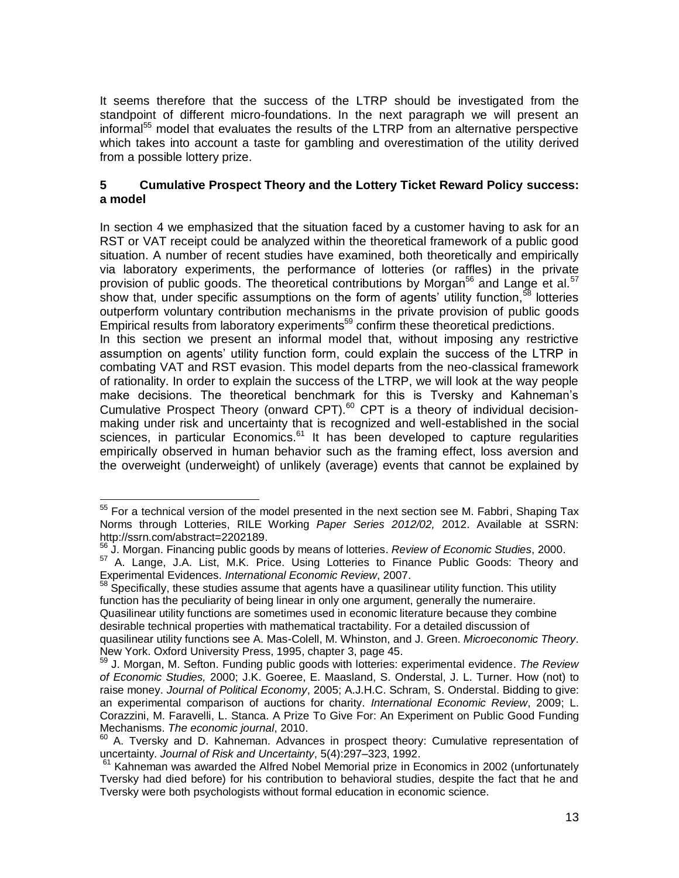It seems therefore that the success of the LTRP should be investigated from the standpoint of different micro-foundations. In the next paragraph we will present an informal<sup>55</sup> model that evaluates the results of the LTRP from an alternative perspective which takes into account a taste for gambling and overestimation of the utility derived from a possible lottery prize.

#### **5 Cumulative Prospect Theory and the Lottery Ticket Reward Policy success: a model**

In section 4 we emphasized that the situation faced by a customer having to ask for an RST or VAT receipt could be analyzed within the theoretical framework of a public good situation. A number of recent studies have examined, both theoretically and empirically via laboratory experiments, the performance of lotteries (or raffles) in the private provision of public goods. The theoretical contributions by Morgan<sup>56</sup> and Lange et al.<sup>57</sup> show that, under specific assumptions on the form of agents' utility function,<sup>58</sup> lotteries outperform voluntary contribution mechanisms in the private provision of public goods Empirical results from laboratory experiments<sup>59</sup> confirm these theoretical predictions.

In this section we present an informal model that, without imposing any restrictive assumption on agents' utility function form, could explain the success of the LTRP in combating VAT and RST evasion. This model departs from the neo-classical framework of rationality. In order to explain the success of the LTRP, we will look at the way people make decisions. The theoretical benchmark for this is Tversky and Kahneman's Cumulative Prospect Theory (onward CPT). $^{60}$  CPT is a theory of individual decisionmaking under risk and uncertainty that is recognized and well-established in the social sciences, in particular Economics. $61$  It has been developed to capture regularities empirically observed in human behavior such as the framing effect, loss aversion and the overweight (underweight) of unlikely (average) events that cannot be explained by

 <sup>55</sup> For a technical version of the model presented in the next section see M. Fabbri, Shaping Tax Norms through Lotteries, RILE Working *Paper Series 2012/02,* 2012. Available at SSRN: http://ssrn.com/abstract=2202189.

<sup>56</sup> J. Morgan. Financing public goods by means of lotteries. *Review of Economic Studies*, 2000. <sup>57</sup> A. Lange, J.A. List, M.K. Price. Using Lotteries to Finance Public Goods: Theory and Experimental Evidences. *International Economic Review*, 2007.

 $58$  Specifically, these studies assume that agents have a quasilinear utility function. This utility function has the peculiarity of being linear in only one argument, generally the numeraire. Quasilinear utility functions are sometimes used in economic literature because they combine desirable technical properties with mathematical tractability. For a detailed discussion of quasilinear utility functions see A. Mas-Colell, M. Whinston, and J. Green. *Microeconomic Theory*. New York. Oxford University Press, 1995, chapter 3, page 45.

<sup>59</sup> J. Morgan, M. Sefton. Funding public goods with lotteries: experimental evidence. *The Review of Economic Studies,* 2000; J.K. Goeree, E. Maasland, S. Onderstal, J. L. Turner. How (not) to raise money. *Journal of Political Economy*, 2005; A.J.H.C. Schram, S. Onderstal. Bidding to give: an experimental comparison of auctions for charity. *International Economic Review*, 2009; L. Corazzini, M. Faravelli, L. Stanca. A Prize To Give For: An Experiment on Public Good Funding Mechanisms. *The economic journal*, 2010.

<sup>&</sup>lt;sup>60</sup> A. Tversky and D. Kahneman. Advances in prospect theory: Cumulative representation of uncertainty. *Journal of Risk and Uncertainty*, 5(4):297–323, 1992.

 $61$  Kahneman was awarded the Alfred Nobel Memorial prize in Economics in 2002 (unfortunately Tversky had died before) for his contribution to behavioral studies, despite the fact that he and Tversky were both psychologists without formal education in economic science.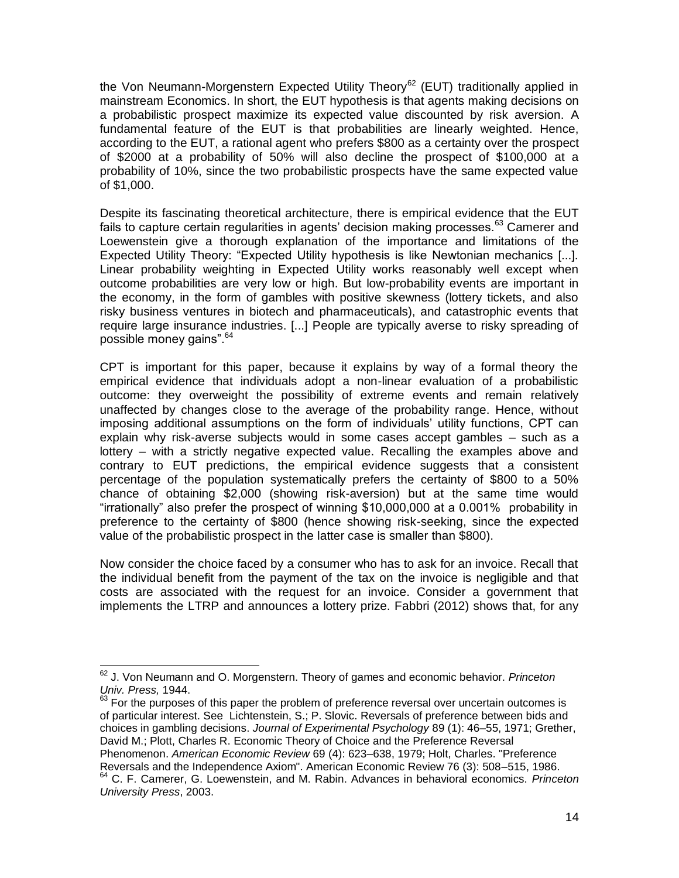the Von Neumann-Morgenstern Expected Utility Theory<sup>62</sup> (EUT) traditionally applied in mainstream Economics. In short, the EUT hypothesis is that agents making decisions on a probabilistic prospect maximize its expected value discounted by risk aversion. A fundamental feature of the EUT is that probabilities are linearly weighted. Hence, according to the EUT, a rational agent who prefers \$800 as a certainty over the prospect of \$2000 at a probability of 50% will also decline the prospect of \$100,000 at a probability of 10%, since the two probabilistic prospects have the same expected value of \$1,000.

Despite its fascinating theoretical architecture, there is empirical evidence that the EUT fails to capture certain regularities in agents' decision making processes.<sup>63</sup> Camerer and Loewenstein give a thorough explanation of the importance and limitations of the Expected Utility Theory: "Expected Utility hypothesis is like Newtonian mechanics [...]. Linear probability weighting in Expected Utility works reasonably well except when outcome probabilities are very low or high. But low-probability events are important in the economy, in the form of gambles with positive skewness (lottery tickets, and also risky business ventures in biotech and pharmaceuticals), and catastrophic events that require large insurance industries. [...] People are typically averse to risky spreading of possible money gains". 64

CPT is important for this paper, because it explains by way of a formal theory the empirical evidence that individuals adopt a non-linear evaluation of a probabilistic outcome: they overweight the possibility of extreme events and remain relatively unaffected by changes close to the average of the probability range. Hence, without imposing additional assumptions on the form of individuals' utility functions, CPT can explain why risk-averse subjects would in some cases accept gambles – such as a lottery – with a strictly negative expected value. Recalling the examples above and contrary to EUT predictions, the empirical evidence suggests that a consistent percentage of the population systematically prefers the certainty of \$800 to a 50% chance of obtaining \$2,000 (showing risk-aversion) but at the same time would "irrationally" also prefer the prospect of winning \$10,000,000 at a 0.001% probability in preference to the certainty of \$800 (hence showing risk-seeking, since the expected value of the probabilistic prospect in the latter case is smaller than \$800).

Now consider the choice faced by a consumer who has to ask for an invoice. Recall that the individual benefit from the payment of the tax on the invoice is negligible and that costs are associated with the request for an invoice. Consider a government that implements the LTRP and announces a lottery prize. Fabbri (2012) shows that, for any

 <sup>62</sup> J. Von Neumann and O. Morgenstern. Theory of games and economic behavior. *Princeton Univ. Press,* 1944.

 $63$  For the purposes of this paper the problem of preference reversal over uncertain outcomes is of particular interest. See Lichtenstein, S.; P. Slovic. Reversals of preference between bids and choices in gambling decisions. *Journal of Experimental Psychology* 89 (1): 46–55, 1971; Grether, David M.; Plott, Charles R. Economic Theory of Choice and the Preference Reversal Phenomenon. *American Economic Review* 69 (4): 623–638, 1979; Holt, Charles. "Preference Reversals and the Independence Axiom". American Economic Review 76 (3): 508–515, 1986.

<sup>64</sup> C. F. Camerer, G. Loewenstein, and M. Rabin. Advances in behavioral economics. *Princeton University Press*, 2003.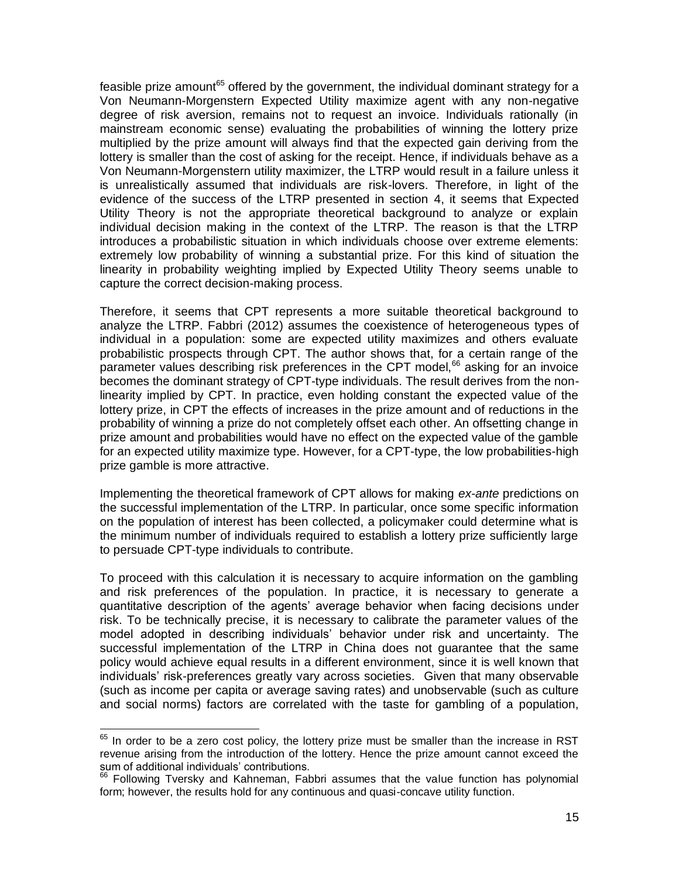feasible prize amount<sup>65</sup> offered by the government, the individual dominant strategy for a Von Neumann-Morgenstern Expected Utility maximize agent with any non-negative degree of risk aversion, remains not to request an invoice. Individuals rationally (in mainstream economic sense) evaluating the probabilities of winning the lottery prize multiplied by the prize amount will always find that the expected gain deriving from the lottery is smaller than the cost of asking for the receipt. Hence, if individuals behave as a Von Neumann-Morgenstern utility maximizer, the LTRP would result in a failure unless it is unrealistically assumed that individuals are risk-lovers. Therefore, in light of the evidence of the success of the LTRP presented in section 4, it seems that Expected Utility Theory is not the appropriate theoretical background to analyze or explain individual decision making in the context of the LTRP. The reason is that the LTRP introduces a probabilistic situation in which individuals choose over extreme elements: extremely low probability of winning a substantial prize. For this kind of situation the linearity in probability weighting implied by Expected Utility Theory seems unable to capture the correct decision-making process.

Therefore, it seems that CPT represents a more suitable theoretical background to analyze the LTRP. Fabbri (2012) assumes the coexistence of heterogeneous types of individual in a population: some are expected utility maximizes and others evaluate probabilistic prospects through CPT. The author shows that, for a certain range of the  $p$ arameter values describing risk preferences in the CPT model, $66$  asking for an invoice becomes the dominant strategy of CPT-type individuals. The result derives from the nonlinearity implied by CPT. In practice, even holding constant the expected value of the lottery prize, in CPT the effects of increases in the prize amount and of reductions in the probability of winning a prize do not completely offset each other. An offsetting change in prize amount and probabilities would have no effect on the expected value of the gamble for an expected utility maximize type. However, for a CPT-type, the low probabilities-high prize gamble is more attractive.

Implementing the theoretical framework of CPT allows for making *ex-ante* predictions on the successful implementation of the LTRP. In particular, once some specific information on the population of interest has been collected, a policymaker could determine what is the minimum number of individuals required to establish a lottery prize sufficiently large to persuade CPT-type individuals to contribute.

To proceed with this calculation it is necessary to acquire information on the gambling and risk preferences of the population. In practice, it is necessary to generate a quantitative description of the agents' average behavior when facing decisions under risk. To be technically precise, it is necessary to calibrate the parameter values of the model adopted in describing individuals' behavior under risk and uncertainty. The successful implementation of the LTRP in China does not guarantee that the same policy would achieve equal results in a different environment, since it is well known that individuals' risk-preferences greatly vary across societies. Given that many observable (such as income per capita or average saving rates) and unobservable (such as culture and social norms) factors are correlated with the taste for gambling of a population,

 $65$  In order to be a zero cost policy, the lottery prize must be smaller than the increase in RST revenue arising from the introduction of the lottery. Hence the prize amount cannot exceed the sum of additional individuals' contributions.

 $66$  Following Tversky and Kahneman, Fabbri assumes that the value function has polynomial form; however, the results hold for any continuous and quasi-concave utility function.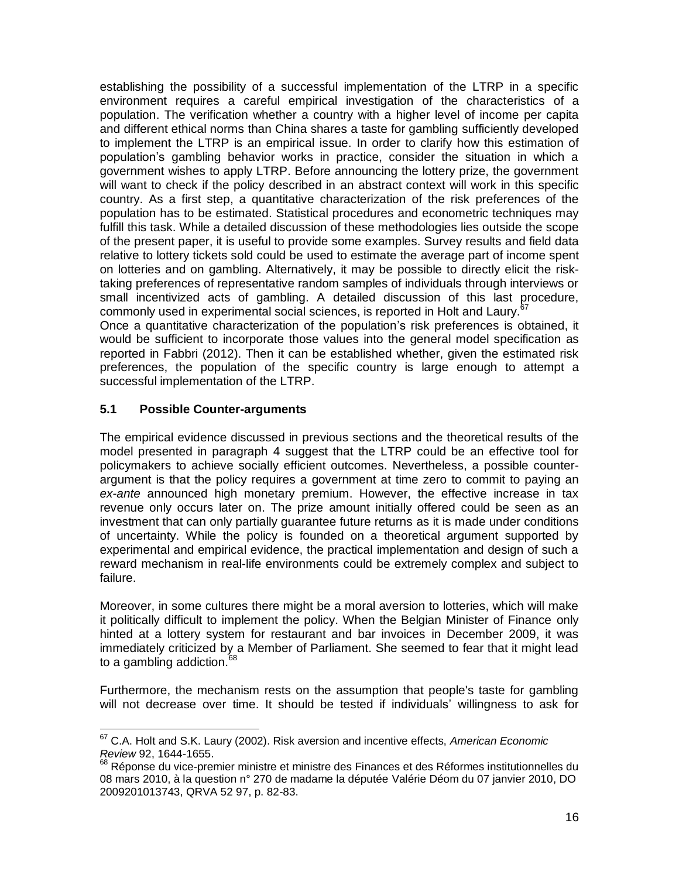establishing the possibility of a successful implementation of the LTRP in a specific environment requires a careful empirical investigation of the characteristics of a population. The verification whether a country with a higher level of income per capita and different ethical norms than China shares a taste for gambling sufficiently developed to implement the LTRP is an empirical issue. In order to clarify how this estimation of population's gambling behavior works in practice, consider the situation in which a government wishes to apply LTRP. Before announcing the lottery prize, the government will want to check if the policy described in an abstract context will work in this specific country. As a first step, a quantitative characterization of the risk preferences of the population has to be estimated. Statistical procedures and econometric techniques may fulfill this task. While a detailed discussion of these methodologies lies outside the scope of the present paper, it is useful to provide some examples. Survey results and field data relative to lottery tickets sold could be used to estimate the average part of income spent on lotteries and on gambling. Alternatively, it may be possible to directly elicit the risktaking preferences of representative random samples of individuals through interviews or small incentivized acts of gambling. A detailed discussion of this last procedure, commonly used in experimental social sciences, is reported in Holt and Laury.<sup>1</sup> Once a quantitative characterization of the population's risk preferences is obtained, it would be sufficient to incorporate those values into the general model specification as

reported in Fabbri (2012). Then it can be established whether, given the estimated risk preferences, the population of the specific country is large enough to attempt a successful implementation of the LTRP.

## **5.1 Possible Counter-arguments**

The empirical evidence discussed in previous sections and the theoretical results of the model presented in paragraph 4 suggest that the LTRP could be an effective tool for policymakers to achieve socially efficient outcomes. Nevertheless, a possible counterargument is that the policy requires a government at time zero to commit to paying an *ex-ante* announced high monetary premium. However, the effective increase in tax revenue only occurs later on. The prize amount initially offered could be seen as an investment that can only partially guarantee future returns as it is made under conditions of uncertainty. While the policy is founded on a theoretical argument supported by experimental and empirical evidence, the practical implementation and design of such a reward mechanism in real-life environments could be extremely complex and subject to failure.

Moreover, in some cultures there might be a moral aversion to lotteries, which will make it politically difficult to implement the policy. When the Belgian Minister of Finance only hinted at a lottery system for restaurant and bar invoices in December 2009, it was immediately criticized by a Member of Parliament. She seemed to fear that it might lead to a gambling addiction.<sup>68</sup>

Furthermore, the mechanism rests on the assumption that people's taste for gambling will not decrease over time. It should be tested if individuals' willingness to ask for

 <sup>67</sup> C.A. Holt and S.K. Laury (2002). Risk aversion and incentive effects, *American Economic Review* 92, 1644-1655.

<sup>&</sup>lt;sup>68</sup> Réponse du vice-premier ministre et ministre des Finances et des Réformes institutionnelles du 08 mars 2010, à la question n° 270 de madame la députée Valérie Déom du 07 janvier 2010, DO 2009201013743, QRVA 52 97, p. 82-83.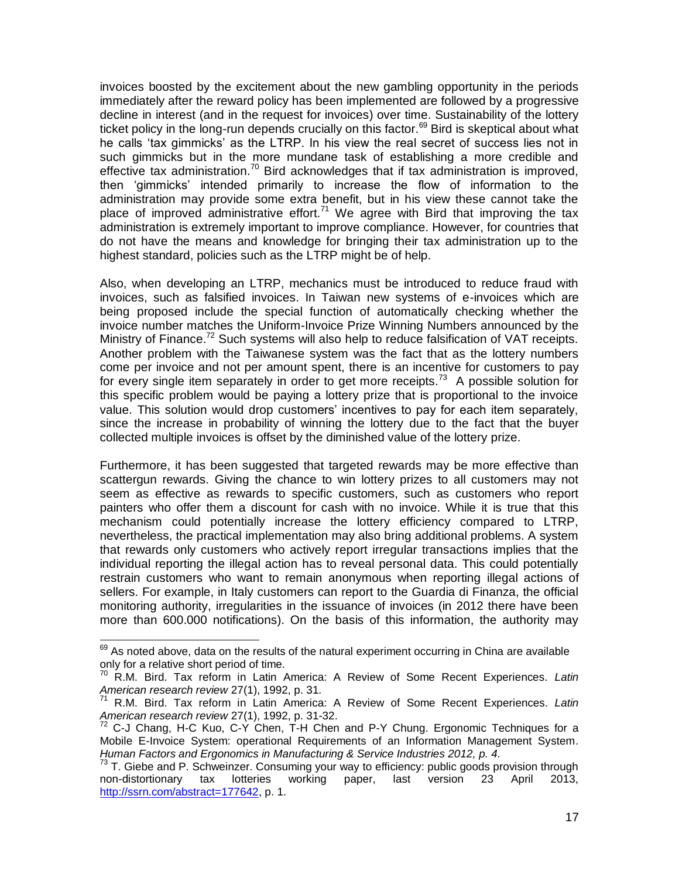invoices boosted by the excitement about the new gambling opportunity in the periods immediately after the reward policy has been implemented are followed by a progressive decline in interest (and in the request for invoices) over time. Sustainability of the lottery ticket policy in the long-run depends crucially on this factor.<sup>69</sup> Bird is skeptical about what he calls 'tax gimmicks' as the LTRP. In his view the real secret of success lies not in such gimmicks but in the more mundane task of establishing a more credible and effective tax administration.<sup>70</sup> Bird acknowledges that if tax administration is improved, then 'gimmicks' intended primarily to increase the flow of information to the administration may provide some extra benefit, but in his view these cannot take the place of improved administrative effort.<sup>71</sup> We agree with Bird that improving the tax administration is extremely important to improve compliance. However, for countries that do not have the means and knowledge for bringing their tax administration up to the highest standard, policies such as the LTRP might be of help.

Also, when developing an LTRP, mechanics must be introduced to reduce fraud with invoices, such as falsified invoices. In Taiwan new systems of e-invoices which are being proposed include the special function of automatically checking whether the invoice number matches the Uniform-Invoice Prize Winning Numbers announced by the Ministry of Finance.<sup>72</sup> Such systems will also help to reduce falsification of VAT receipts. Another problem with the Taiwanese system was the fact that as the lottery numbers come per invoice and not per amount spent, there is an incentive for customers to pay for every single item separately in order to get more receipts.<sup>73</sup> A possible solution for this specific problem would be paying a lottery prize that is proportional to the invoice value. This solution would drop customers' incentives to pay for each item separately, since the increase in probability of winning the lottery due to the fact that the buyer collected multiple invoices is offset by the diminished value of the lottery prize.

Furthermore, it has been suggested that targeted rewards may be more effective than scattergun rewards. Giving the chance to win lottery prizes to all customers may not seem as effective as rewards to specific customers, such as customers who report painters who offer them a discount for cash with no invoice. While it is true that this mechanism could potentially increase the lottery efficiency compared to LTRP, nevertheless, the practical implementation may also bring additional problems. A system that rewards only customers who actively report irregular transactions implies that the individual reporting the illegal action has to reveal personal data. This could potentially restrain customers who want to remain anonymous when reporting illegal actions of sellers. For example, in Italy customers can report to the Guardia di Finanza, the official monitoring authority, irregularities in the issuance of invoices (in 2012 there have been more than 600.000 notifications). On the basis of this information, the authority may

 $^{69}$  As noted above, data on the results of the natural experiment occurring in China are available only for a relative short period of time.

<sup>70</sup> R.M. Bird. Tax reform in Latin America: A Review of Some Recent Experiences. *Latin American research review* 27(1), 1992, p. 31.

<sup>71</sup> R.M. Bird. Tax reform in Latin America: A Review of Some Recent Experiences. *Latin American research review* 27(1), 1992, p. 31-32.

 $72$  C-J Chang, H-C Kuo, C-Y Chen, T-H Chen and P-Y Chung. Ergonomic Techniques for a Mobile E-Invoice System: operational Requirements of an Information Management System. *Human Factors and Ergonomics in Manufacturing & Service Industries 2012, p. 4.*

 $73$  T. Giebe and P. Schweinzer. Consuming your way to efficiency: public goods provision through non-distortionary tax lotteries working paper, last version 23 April 2013, [http://ssrn.com/abstract=177642,](http://ssrn.com/abstract=177642) p. 1.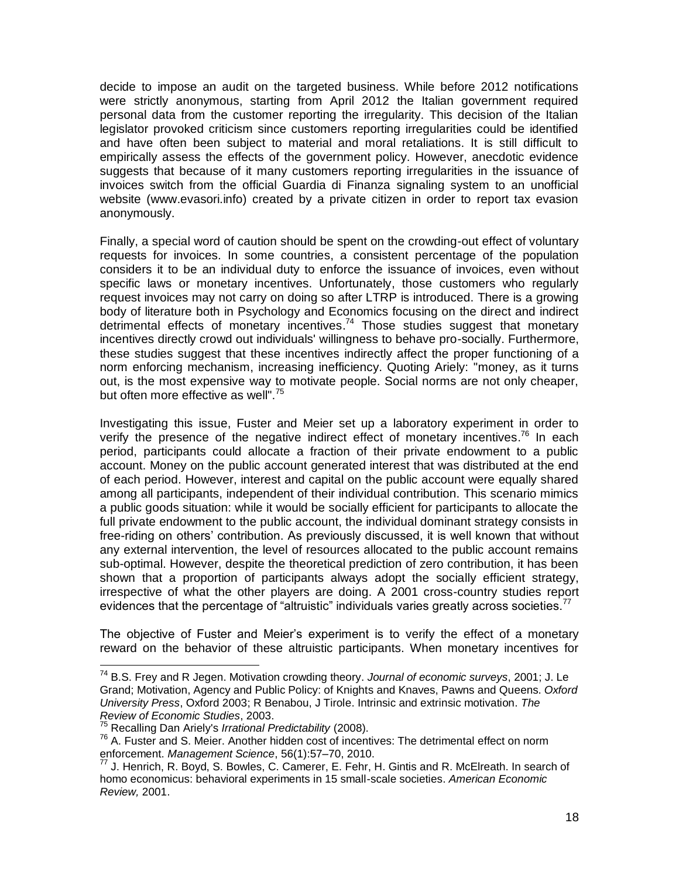decide to impose an audit on the targeted business. While before 2012 notifications were strictly anonymous, starting from April 2012 the Italian government required personal data from the customer reporting the irregularity. This decision of the Italian legislator provoked criticism since customers reporting irregularities could be identified and have often been subject to material and moral retaliations. It is still difficult to empirically assess the effects of the government policy. However, anecdotic evidence suggests that because of it many customers reporting irregularities in the issuance of invoices switch from the official Guardia di Finanza signaling system to an unofficial website (www.evasori.info) created by a private citizen in order to report tax evasion anonymously.

Finally, a special word of caution should be spent on the crowding-out effect of voluntary requests for invoices. In some countries, a consistent percentage of the population considers it to be an individual duty to enforce the issuance of invoices, even without specific laws or monetary incentives. Unfortunately, those customers who regularly request invoices may not carry on doing so after LTRP is introduced. There is a growing body of literature both in Psychology and Economics focusing on the direct and indirect detrimental effects of monetary incentives.<sup>74</sup> Those studies suggest that monetary incentives directly crowd out individuals' willingness to behave pro-socially. Furthermore, these studies suggest that these incentives indirectly affect the proper functioning of a norm enforcing mechanism, increasing inefficiency. Quoting Ariely: "money, as it turns out, is the most expensive way to motivate people. Social norms are not only cheaper, but often more effective as well".<sup>75</sup>

Investigating this issue, Fuster and Meier set up a laboratory experiment in order to verify the presence of the negative indirect effect of monetary incentives.<sup>76</sup> In each period, participants could allocate a fraction of their private endowment to a public account. Money on the public account generated interest that was distributed at the end of each period. However, interest and capital on the public account were equally shared among all participants, independent of their individual contribution. This scenario mimics a public goods situation: while it would be socially efficient for participants to allocate the full private endowment to the public account, the individual dominant strategy consists in free-riding on others' contribution. As previously discussed, it is well known that without any external intervention, the level of resources allocated to the public account remains sub-optimal. However, despite the theoretical prediction of zero contribution, it has been shown that a proportion of participants always adopt the socially efficient strategy, irrespective of what the other players are doing. A 2001 cross-country studies report evidences that the percentage of "altruistic" individuals varies greatly across societies.<sup>77</sup>

The objective of Fuster and Meier's experiment is to verify the effect of a monetary reward on the behavior of these altruistic participants. When monetary incentives for

<sup>74</sup> B.S. Frey and R Jegen. Motivation crowding theory. *Journal of economic surveys*, 2001; J. Le Grand; Motivation, Agency and Public Policy: of Knights and Knaves, Pawns and Queens. *Oxford University Press*, Oxford 2003; R Benabou, J Tirole. Intrinsic and extrinsic motivation. *The Review of Economic Studies*, 2003.

<sup>75</sup> Recalling Dan Ariely's *Irrational Predictability* (2008).

 $76$  A. Fuster and S. Meier. Another hidden cost of incentives: The detrimental effect on norm enforcement. *Management Science*, 56(1):57–70, 2010.

 $77$  J. Henrich, R. Boyd, S. Bowles, C. Camerer, E. Fehr, H. Gintis and R. McElreath. In search of homo economicus: behavioral experiments in 15 small-scale societies. *American Economic Review,* 2001.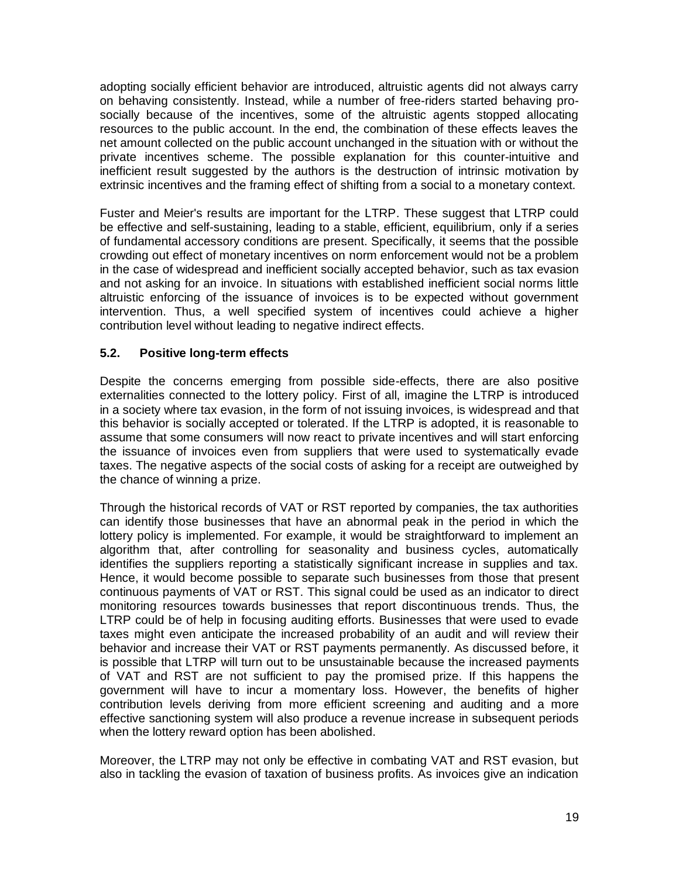adopting socially efficient behavior are introduced, altruistic agents did not always carry on behaving consistently. Instead, while a number of free-riders started behaving prosocially because of the incentives, some of the altruistic agents stopped allocating resources to the public account. In the end, the combination of these effects leaves the net amount collected on the public account unchanged in the situation with or without the private incentives scheme. The possible explanation for this counter-intuitive and inefficient result suggested by the authors is the destruction of intrinsic motivation by extrinsic incentives and the framing effect of shifting from a social to a monetary context.

Fuster and Meier's results are important for the LTRP. These suggest that LTRP could be effective and self-sustaining, leading to a stable, efficient, equilibrium, only if a series of fundamental accessory conditions are present. Specifically, it seems that the possible crowding out effect of monetary incentives on norm enforcement would not be a problem in the case of widespread and inefficient socially accepted behavior, such as tax evasion and not asking for an invoice. In situations with established inefficient social norms little altruistic enforcing of the issuance of invoices is to be expected without government intervention. Thus, a well specified system of incentives could achieve a higher contribution level without leading to negative indirect effects.

## **5.2. Positive long-term effects**

Despite the concerns emerging from possible side-effects, there are also positive externalities connected to the lottery policy. First of all, imagine the LTRP is introduced in a society where tax evasion, in the form of not issuing invoices, is widespread and that this behavior is socially accepted or tolerated. If the LTRP is adopted, it is reasonable to assume that some consumers will now react to private incentives and will start enforcing the issuance of invoices even from suppliers that were used to systematically evade taxes. The negative aspects of the social costs of asking for a receipt are outweighed by the chance of winning a prize.

Through the historical records of VAT or RST reported by companies, the tax authorities can identify those businesses that have an abnormal peak in the period in which the lottery policy is implemented. For example, it would be straightforward to implement an algorithm that, after controlling for seasonality and business cycles, automatically identifies the suppliers reporting a statistically significant increase in supplies and tax. Hence, it would become possible to separate such businesses from those that present continuous payments of VAT or RST. This signal could be used as an indicator to direct monitoring resources towards businesses that report discontinuous trends. Thus, the LTRP could be of help in focusing auditing efforts. Businesses that were used to evade taxes might even anticipate the increased probability of an audit and will review their behavior and increase their VAT or RST payments permanently. As discussed before, it is possible that LTRP will turn out to be unsustainable because the increased payments of VAT and RST are not sufficient to pay the promised prize. If this happens the government will have to incur a momentary loss. However, the benefits of higher contribution levels deriving from more efficient screening and auditing and a more effective sanctioning system will also produce a revenue increase in subsequent periods when the lottery reward option has been abolished.

Moreover, the LTRP may not only be effective in combating VAT and RST evasion, but also in tackling the evasion of taxation of business profits. As invoices give an indication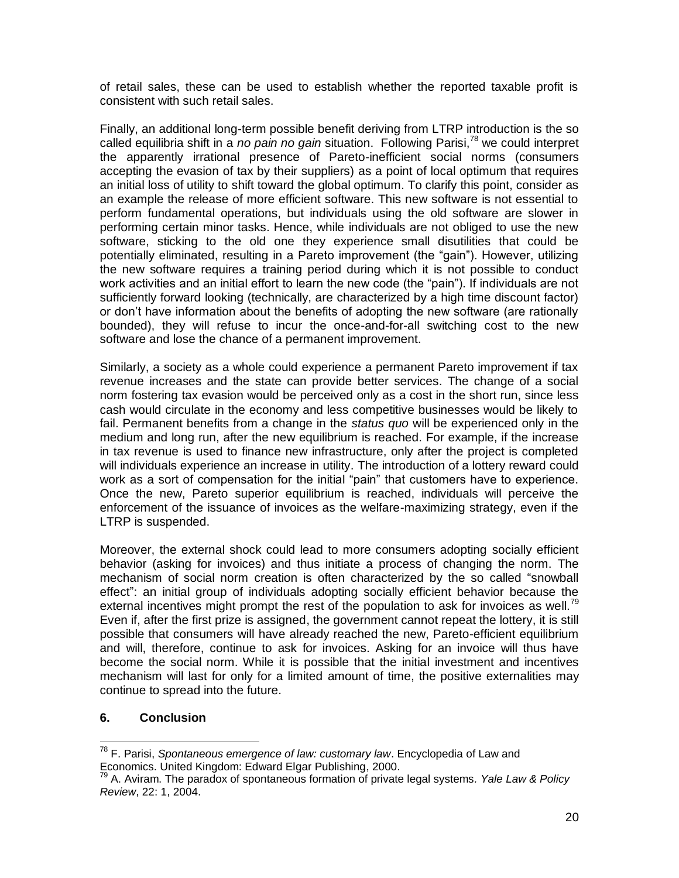of retail sales, these can be used to establish whether the reported taxable profit is consistent with such retail sales.

Finally, an additional long-term possible benefit deriving from LTRP introduction is the so called equilibria shift in a *no pain no gain* situation. Following Parisi, <sup>78</sup> we could interpret the apparently irrational presence of Pareto-inefficient social norms (consumers accepting the evasion of tax by their suppliers) as a point of local optimum that requires an initial loss of utility to shift toward the global optimum. To clarify this point, consider as an example the release of more efficient software. This new software is not essential to perform fundamental operations, but individuals using the old software are slower in performing certain minor tasks. Hence, while individuals are not obliged to use the new software, sticking to the old one they experience small disutilities that could be potentially eliminated, resulting in a Pareto improvement (the "gain"). However, utilizing the new software requires a training period during which it is not possible to conduct work activities and an initial effort to learn the new code (the "pain"). If individuals are not sufficiently forward looking (technically, are characterized by a high time discount factor) or don't have information about the benefits of adopting the new software (are rationally bounded), they will refuse to incur the once-and-for-all switching cost to the new software and lose the chance of a permanent improvement.

Similarly, a society as a whole could experience a permanent Pareto improvement if tax revenue increases and the state can provide better services. The change of a social norm fostering tax evasion would be perceived only as a cost in the short run, since less cash would circulate in the economy and less competitive businesses would be likely to fail. Permanent benefits from a change in the *status quo* will be experienced only in the medium and long run, after the new equilibrium is reached. For example, if the increase in tax revenue is used to finance new infrastructure, only after the project is completed will individuals experience an increase in utility. The introduction of a lottery reward could work as a sort of compensation for the initial "pain" that customers have to experience. Once the new, Pareto superior equilibrium is reached, individuals will perceive the enforcement of the issuance of invoices as the welfare-maximizing strategy, even if the LTRP is suspended.

Moreover, the external shock could lead to more consumers adopting socially efficient behavior (asking for invoices) and thus initiate a process of changing the norm. The mechanism of social norm creation is often characterized by the so called "snowball effect": an initial group of individuals adopting socially efficient behavior because the external incentives might prompt the rest of the population to ask for invoices as well.<sup>79</sup> Even if, after the first prize is assigned, the government cannot repeat the lottery, it is still possible that consumers will have already reached the new, Pareto-efficient equilibrium and will, therefore, continue to ask for invoices. Asking for an invoice will thus have become the social norm. While it is possible that the initial investment and incentives mechanism will last for only for a limited amount of time, the positive externalities may continue to spread into the future.

#### **6. Conclusion**

 <sup>78</sup> F. Parisi, *Spontaneous emergence of law: customary law*. Encyclopedia of Law and Economics. United Kingdom: Edward Elgar Publishing, 2000.

<sup>79</sup> A. Aviram. The paradox of spontaneous formation of private legal systems*. Yale Law & Policy Review*, 22: 1, 2004.